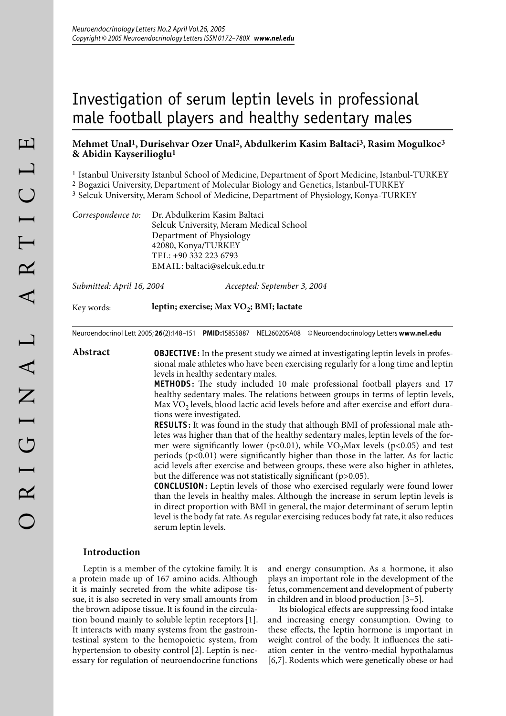# Investigation of serum leptin levels in professional male football players and healthy sedentary males

## **Mehmet Unal1, Durisehvar Ozer Unal2, Abdulkerim Kasim Baltaci3, Rasim Mogulkoc3 & Abidin Kayserilioglu1**

1 Istanbul University Istanbul School of Medicine, Department of Sport Medicine, Istanbul-TURKEY

2 Bogazici University, Department of Molecular Biology and Genetics, Istanbul-TURKEY

3 Selcuk University, Meram School of Medicine, Department of Physiology, Konya-TURKEY

|  | Correspondence to: Dr. Abdulkerim Kasim Baltaci |
|--|-------------------------------------------------|
|  | Selcuk University, Meram Medical School         |
|  | Department of Physiology                        |
|  | 42080, Konya/TURKEY                             |
|  | TEL: +90 332 223 6793                           |
|  | EMAIL: baltaci@selcuk.edu.tr                    |

*Submitted: April 16, 2004 Accepted: September 3, 2004*

Key words: **leptin; exercise; Max VO<sub>2</sub>; BMI; lactate** 

Neuroendocrinol Lett 2005; **26**(2):148–151 **PMID:**15855887 NEL260205A08 © Neuroendocrinology Letters **www.nel.edu**

**Abstract OBJECTIVE**: In the present study we aimed at investigating leptin levels in professional male athletes who have been exercising regularly for a long time and leptin levels in healthy sedentary males.

> **METHODS:** The study included 10 male professional football players and 17 healthy sedentary males. The relations between groups in terms of leptin levels, Max  $VO<sub>2</sub>$  levels, blood lactic acid levels before and after exercise and effort durations were investigated.

> **RESULTS :** It was found in the study that although BMI of professional male athletes was higher than that of the healthy sedentary males, leptin levels of the former were significantly lower (p<0.01), while  $VO<sub>2</sub>Max$  levels (p<0.05) and test periods  $(p<0.01)$  were significantly higher than those in the latter. As for lactic acid levels after exercise and between groups, these were also higher in athletes, but the difference was not statistically significant ( $p>0.05$ ).

> **CONCLUSION:** Leptin levels of those who exercised regularly were found lower than the levels in healthy males. Although the increase in serum leptin levels is in direct proportion with BMI in general, the major determinant of serum leptin level is the body fat rate. As regular exercising reduces body fat rate, it also reduces serum leptin levels.

#### **Introduction**

Leptin is a member of the cytokine family. It is a protein made up of 167 amino acids. Although it is mainly secreted from the white adipose tissue, it is also secreted in very small amounts from the brown adipose tissue. It is found in the circulation bound mainly to soluble leptin receptors [1]. It interacts with many systems from the gastrointestinal system to the hemopoietic system, from hypertension to obesity control [2]. Leptin is necessary for regulation of neuroendocrine functions and energy consumption. As a hormone, it also plays an important role in the development of the fetus, commencement and development of puberty in children and in blood production [3–5].

Its biological effects are suppressing food intake and increasing energy consumption. Owing to these effects, the leptin hormone is important in weight control of the body. It influences the satiation center in the ventro-medial hypothalamus [6,7]. Rodents which were genetically obese or had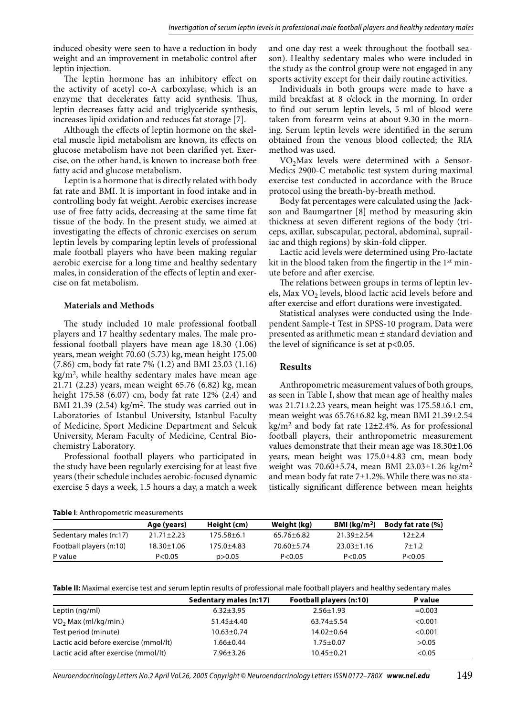induced obesity were seen to have a reduction in body weight and an improvement in metabolic control after leptin injection.

The leptin hormone has an inhibitory effect on the activity of acetyl co-A carboxylase, which is an enzyme that decelerates fatty acid synthesis. Thus, leptin decreases fatty acid and triglyceride synthesis, increases lipid oxidation and reduces fat storage [7].

Although the effects of leptin hormone on the skeletal muscle lipid metabolism are known, its effects on glucose metabolism have not been clarified yet. Exercise, on the other hand, is known to increase both free fatty acid and glucose metabolism.

Leptin is a hormone that is directly related with body fat rate and BMI. It is important in food intake and in controlling body fat weight. Aerobic exercises increase use of free fatty acids, decreasing at the same time fat tissue of the body. In the present study, we aimed at investigating the effects of chronic exercises on serum leptin levels by comparing leptin levels of professional male football players who have been making regular aerobic exercise for a long time and healthy sedentary males, in consideration of the effects of leptin and exercise on fat metabolism.

#### **Materials and Methods**

The study included 10 male professional football players and 17 healthy sedentary males. The male professional football players have mean age 18.30 (1.06) years, mean weight 70.60 (5.73) kg, mean height 175.00 (7.86) cm, body fat rate 7% (1.2) and BMI 23.03 (1.16) kg/m2, while healthy sedentary males have mean age 21.71 (2.23) years, mean weight 65.76 (6.82) kg, mean height 175.58 (6.07) cm, body fat rate 12% (2.4) and BMI 21.39 (2.54) kg/m<sup>2</sup>. The study was carried out in Laboratories of Istanbul University, Istanbul Faculty of Medicine, Sport Medicine Department and Selcuk University, Meram Faculty of Medicine, Central Biochemistry Laboratory.

Professional football players who participated in the study have been regularly exercising for at least five years (their schedule includes aerobic-focused dynamic exercise 5 days a week, 1.5 hours a day, a match a week

**Table I**: Anthropometric measurements

and one day rest a week throughout the football season). Healthy sedentary males who were included in the study as the control group were not engaged in any sports activity except for their daily routine activities.

Individuals in both groups were made to have a mild breakfast at 8 o'clock in the morning. In order to find out serum leptin levels, 5 ml of blood were taken from forearm veins at about 9.30 in the morning. Serum leptin levels were identified in the serum obtained from the venous blood collected; the RIA method was used.

 $VO<sub>2</sub>Max$  levels were determined with a Sensor-Medics 2900-C metabolic test system during maximal exercise test conducted in accordance with the Bruce protocol using the breath-by-breath method.

Body fat percentages were calculated using the Jackson and Baumgartner [8] method by measuring skin thickness at seven different regions of the body (triceps, axillar, subscapular, pectoral, abdominal, suprailiac and thigh regions) by skin-fold clipper.

Lactic acid levels were determined using Pro-lactate kit in the blood taken from the fingertip in the  $1<sup>st</sup>$  minute before and after exercise.

The relations between groups in terms of leptin levels, Max VO<sub>2</sub> levels, blood lactic acid levels before and after exercise and effort durations were investigated.

Statistical analyses were conducted using the Independent Sample-t Test in SPSS-10 program. Data were presented as arithmetic mean ± standard deviation and the level of significance is set at  $p<0.05$ .

#### **Results**

Anthropometric measurement values of both groups, as seen in Table I, show that mean age of healthy males was 21.71±2.23 years, mean height was 175.58±6.1 cm, mean weight was 65.76±6.82 kg, mean BMI 21.39±2.54 kg/m<sup>2</sup> and body fat rate  $12\pm2.4\%$ . As for professional football players, their anthropometric measurement values demonstrate that their mean age was 18.30±1.06 years, mean height was 175.0±4.83 cm, mean body weight was 70.60±5.74, mean BMI 23.03±1.26 kg/m2 and mean body fat rate 7±1.2%. While there was no statistically significant difference between mean heights

|                         | Age (years)      | Height (cm) | Weight (kg)      | BMI ( $\text{kg/m}^2$ ) | <b>Body fat rate (%)</b> |
|-------------------------|------------------|-------------|------------------|-------------------------|--------------------------|
| Sedentary males (n:17)  | $21.71 \pm 2.23$ | 175.58±6.1  | $65.76 \pm 6.82$ | 21.39+2.54              | $12+2.4$                 |
| Football players (n:10) | 18.30±1.06       | 175.0±4.83  | $70.60 \pm 5.74$ | $23.03 \pm 1.16$        | $7 + 1.2$                |
| P value                 | P < 0.05         | p > 0.05    | P < 0.05         | P < 0.05                | P < 0.05                 |

**Table II:** Maximal exercise test and serum leptin results of professional male football players and healthy sedentary males

|                                       | Sedentary males (n:17) | Football players (n:10) | P value  |  |
|---------------------------------------|------------------------|-------------------------|----------|--|
| Leptin (ng/ml)                        | $6.32 + 3.95$          | $2.56 \pm 1.93$         | $=0.003$ |  |
| $VO2$ Max (ml/kg/min.)                | $51.45 \pm 4.40$       | $63.74 \pm 5.54$        | < 0.001  |  |
| Test period (minute)                  | $10.63 \pm 0.74$       | $14.02 \pm 0.64$        | < 0.001  |  |
| Lactic acid before exercise (mmol/lt) | 1.66±0.44              | $1.75 \pm 0.07$         | >0.05    |  |
| Lactic acid after exercise (mmol/lt)  | 7.96±3.26              | $10.45 \pm 0.21$        | < 0.05   |  |

Neuroendocrinology Letters No.2 April Vol.26, 2005 Copyright © Neuroendocrinology Letters ISSN 0172–780X *www.nel.edu* 149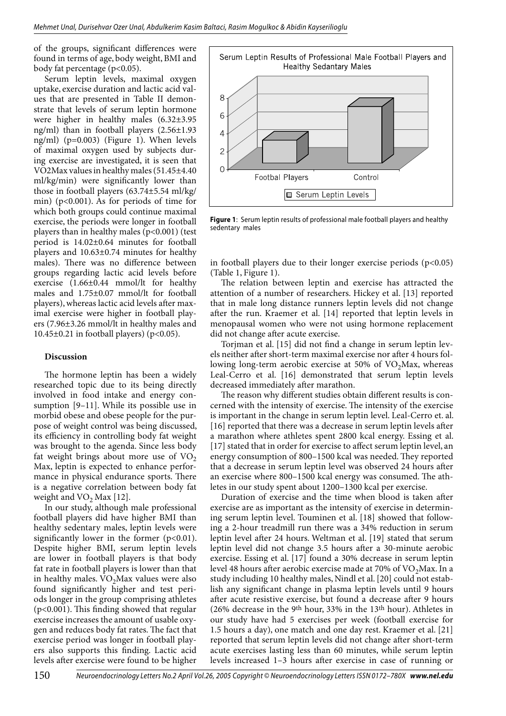of the groups, significant differences were found in terms of age, body weight, BMI and body fat percentage (p<0.05).

Serum leptin levels, maximal oxygen uptake, exercise duration and lactic acid values that are presented in Table II demonstrate that levels of serum leptin hormone were higher in healthy males (6.32±3.95 ng/ml) than in football players (2.56±1.93 ng/ml) (p=0.003) (Figure 1). When levels of maximal oxygen used by subjects during exercise are investigated, it is seen that VO2Max values in healthy males (51.45±4.40 ml/kg/min) were significantly lower than those in football players (63.74±5.54 ml/kg/ min) (p<0.001). As for periods of time for which both groups could continue maximal exercise, the periods were longer in football players than in healthy males (p<0.001) (test period is 14.02±0.64 minutes for football players and 10.63±0.74 minutes for healthy males). There was no difference between groups regarding lactic acid levels before exercise (1.66±0.44 mmol/lt for healthy males and 1.75±0.07 mmol/lt for football players), whereas lactic acid levels after maximal exercise were higher in football players (7.96±3.26 mmol/lt in healthy males and 10.45 $\pm$ 0.21 in football players) (p<0.05).

### **Discussion**

The hormone leptin has been a widely researched topic due to its being directly involved in food intake and energy consumption [9–11]. While its possible use in morbid obese and obese people for the purpose of weight control was being discussed, its efficiency in controlling body fat weight was brought to the agenda. Since less body fat weight brings about more use of  $VO<sub>2</sub>$ Max, leptin is expected to enhance performance in physical endurance sports. There is a negative correlation between body fat weight and  $VO<sub>2</sub>$  Max [12].

In our study, although male professional football players did have higher BMI than healthy sedentary males, leptin levels were significantly lower in the former  $(p<0.01)$ . Despite higher BMI, serum leptin levels are lower in football players is that body fat rate in football players is lower than that in healthy males.  $VO<sub>2</sub>Max$  values were also found significantly higher and test periods longer in the group comprising athletes  $(p<0.001)$ . This finding showed that regular exercise increases the amount of usable oxygen and reduces body fat rates. The fact that exercise period was longer in football players also supports this finding. Lactic acid levels after exercise were found to be higher



**Figure 1**: Serum leptin results of professional male football players and healthy sedentary males

in football players due to their longer exercise periods  $(p<0.05)$ (Table 1, Figure 1).

The relation between leptin and exercise has attracted the attention of a number of researchers. Hickey et al. [13] reported that in male long distance runners leptin levels did not change after the run. Kraemer et al. [14] reported that leptin levels in menopausal women who were not using hormone replacement did not change after acute exercise.

Torjman et al. [15] did not find a change in serum leptin levels neither after short-term maximal exercise nor after 4 hours following long-term aerobic exercise at  $50\%$  of VO<sub>2</sub>Max, whereas Leal-Cerro et al. [16] demonstrated that serum leptin levels decreased immediately after marathon.

The reason why different studies obtain different results is concerned with the intensity of exercise. The intensity of the exercise is important in the change in serum leptin level. Leal-Cerro et. al. [16] reported that there was a decrease in serum leptin levels after a marathon where athletes spent 2800 kcal energy. Essing et al. [17] stated that in order for exercise to affect serum leptin level, an energy consumption of 800–1500 kcal was needed. They reported that a decrease in serum leptin level was observed 24 hours after an exercise where 800–1500 kcal energy was consumed. The athletes in our study spent about 1200–1300 kcal per exercise.

Duration of exercise and the time when blood is taken after exercise are as important as the intensity of exercise in determining serum leptin level. Touminen et al. [18] showed that following a 2-hour treadmill run there was a 34% reduction in serum leptin level after 24 hours. Weltman et al. [19] stated that serum leptin level did not change 3.5 hours after a 30-minute aerobic exercise. Essing et al. [17] found a 30% decrease in serum leptin level 48 hours after aerobic exercise made at 70% of  $VO<sub>2</sub>Max$ . In a study including 10 healthy males, Nindl et al. [20] could not establish any significant change in plasma leptin levels until 9 hours after acute resistive exercise, but found a decrease after 9 hours (26% decrease in the 9th hour, 33% in the 13th hour). Athletes in our study have had 5 exercises per week (football exercise for 1.5 hours a day), one match and one day rest. Kraemer et al. [21] reported that serum leptin levels did not change after short-term acute exercises lasting less than 60 minutes, while serum leptin levels increased 1–3 hours after exercise in case of running or